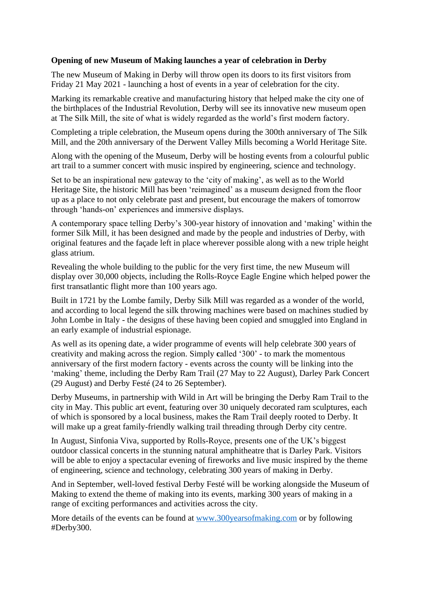## **Opening of new Museum of Making launches a year of celebration in Derby**

The new Museum of Making in Derby will throw open its doors to its first visitors from Friday 21 May 2021 - launching a host of events in a year of celebration for the city.

Marking its remarkable creative and manufacturing history that helped make the city one of the birthplaces of the Industrial Revolution, Derby will see its innovative new museum open at The Silk Mill, the site of what is widely regarded as the world's first modern factory.

Completing a triple celebration, the Museum opens during the 300th anniversary of The Silk Mill, and the 20th anniversary of the Derwent Valley Mills becoming a World Heritage Site.

Along with the opening of the Museum, Derby will be hosting events from a colourful public art trail to a summer concert with music inspired by engineering, science and technology.

Set to be an inspirational new gateway to the 'city of making', as well as to the World Heritage Site, the historic Mill has been 'reimagined' as a museum designed from the floor up as a place to not only celebrate past and present, but encourage the makers of tomorrow through 'hands-on' experiences and immersive displays.

A contemporary space telling Derby's 300-year history of innovation and 'making' within the former Silk Mill, it has been designed and made by the people and industries of Derby, with original features and the façade left in place wherever possible along with a new triple height glass atrium.

Revealing the whole building to the public for the very first time, the new Museum will display over 30,000 objects, including the Rolls-Royce Eagle Engine which helped power the first transatlantic flight more than 100 years ago.

Built in 1721 by the Lombe family, Derby Silk Mill was regarded as a wonder of the world, and according to local legend the silk throwing machines were based on machines studied by John Lombe in Italy - the designs of these having been copied and smuggled into England in an early example of industrial espionage.

As well as its opening date, a wider programme of events will help celebrate 300 years of creativity and making across the region. Simply **c**alled '300' - to mark the momentous anniversary of the first modern factory - events across the county will be linking into the 'making' theme, including the Derby Ram Trail (27 May to 22 August), Darley Park Concert (29 August) and Derby Festé (24 to 26 September).

Derby Museums, in partnership with Wild in Art will be bringing the Derby Ram Trail to the city in May. This public art event, featuring over 30 uniquely decorated ram sculptures, each of which is sponsored by a local business, makes the Ram Trail deeply rooted to Derby. It will make up a great family-friendly walking trail threading through Derby city centre.

In August, Sinfonia Viva, supported by Rolls-Royce, presents one of the UK's biggest outdoor classical concerts in the stunning natural amphitheatre that is Darley Park. Visitors will be able to enjoy a spectacular evening of fireworks and live music inspired by the theme of engineering, science and technology, celebrating 300 years of making in Derby.

And in September, well-loved festival Derby Festé will be working alongside the Museum of Making to extend the theme of making into its events, marking 300 years of making in a range of exciting performances and activities across the city.

More details of the events can be found at [www.300yearsofmaking.com](http://www.300yearsofmaking.com/) or by following #Derby300.